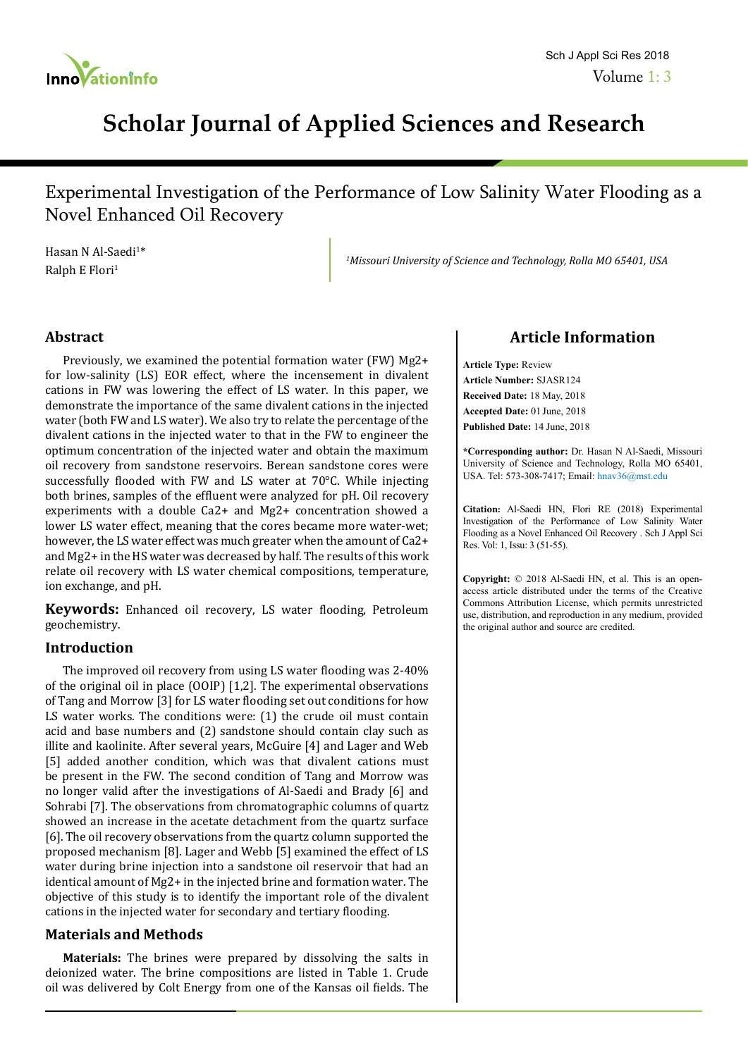

# **Scholar Journal of Applied Sciences and Research**

Experimental Investigation of the Performance of Low Salinity Water Flooding as a Novel Enhanced Oil Recovery

Hasan N Al-Saedi<sup>1\*</sup> Ralph E Flori<sup>1</sup>

*1 Missouri University of Science and Technology, Rolla MO 65401, USA*

## **Abstract**

Previously, we examined the potential formation water (FW) Mg2+ for low-salinity (LS) EOR effect, where the incensement in divalent cations in FW was lowering the effect of LS water. In this paper, we demonstrate the importance of the same divalent cations in the injected water (both FW and LS water). We also try to relate the percentage of the divalent cations in the injected water to that in the FW to engineer the optimum concentration of the injected water and obtain the maximum oil recovery from sandstone reservoirs. Berean sandstone cores were successfully flooded with FW and LS water at 70°C. While injecting both brines, samples of the effluent were analyzed for pH. Oil recovery experiments with a double Ca2+ and Mg2+ concentration showed a lower LS water effect, meaning that the cores became more water-wet; however, the LS water effect was much greater when the amount of Ca2+ and Mg2+ in the HS water was decreased by half. The results of this work relate oil recovery with LS water chemical compositions, temperature, ion exchange, and pH.

**Keywords:** Enhanced oil recovery, LS water flooding, Petroleum geochemistry.

## **Introduction**

The improved oil recovery from using LS water flooding was 2-40% of the original oil in place (OOIP) [1,2]. The experimental observations of Tang and Morrow [3] for LS water flooding set out conditions for how LS water works. The conditions were: (1) the crude oil must contain acid and base numbers and (2) sandstone should contain clay such as illite and kaolinite. After several years, McGuire [4] and Lager and Web [5] added another condition, which was that divalent cations must be present in the FW. The second condition of Tang and Morrow was no longer valid after the investigations of Al-Saedi and Brady [6] and Sohrabi [7]. The observations from chromatographic columns of quartz showed an increase in the acetate detachment from the quartz surface [6]. The oil recovery observations from the quartz column supported the proposed mechanism [8]. Lager and Webb [5] examined the effect of LS water during brine injection into a sandstone oil reservoir that had an identical amount of Mg2+ in the injected brine and formation water. The objective of this study is to identify the important role of the divalent cations in the injected water for secondary and tertiary flooding.

## **Materials and Methods**

**Materials:** The brines were prepared by dissolving the salts in deionized water. The brine compositions are listed in Table 1. Crude oil was delivered by Colt Energy from one of the Kansas oil fields. The

## **Article Information**

**Article Type:** Review **Article Number:** SJASR124 **Received Date:** 18 May, 2018 **Accepted Date:** 01 June, 2018 **Published Date:** 14 June, 2018

**\*Corresponding author:** Dr. Hasan N Al-Saedi, Missouri University of Science and Technology, Rolla MO 65401, USA. Tel: 573-308-7417; Email: hnav36@mst.edu

**Citation:** Al-Saedi HN, Flori RE (2018) Experimental Investigation of the Performance of Low Salinity Water Flooding as a Novel Enhanced Oil Recovery . Sch J Appl Sci Res. Vol: 1, Issu: 3 (51-55).

**Copyright:** © 2018 Al-Saedi HN, et al. This is an openaccess article distributed under the terms of the Creative Commons Attribution License, which permits unrestricted use, distribution, and reproduction in any medium, provided the original author and source are credited.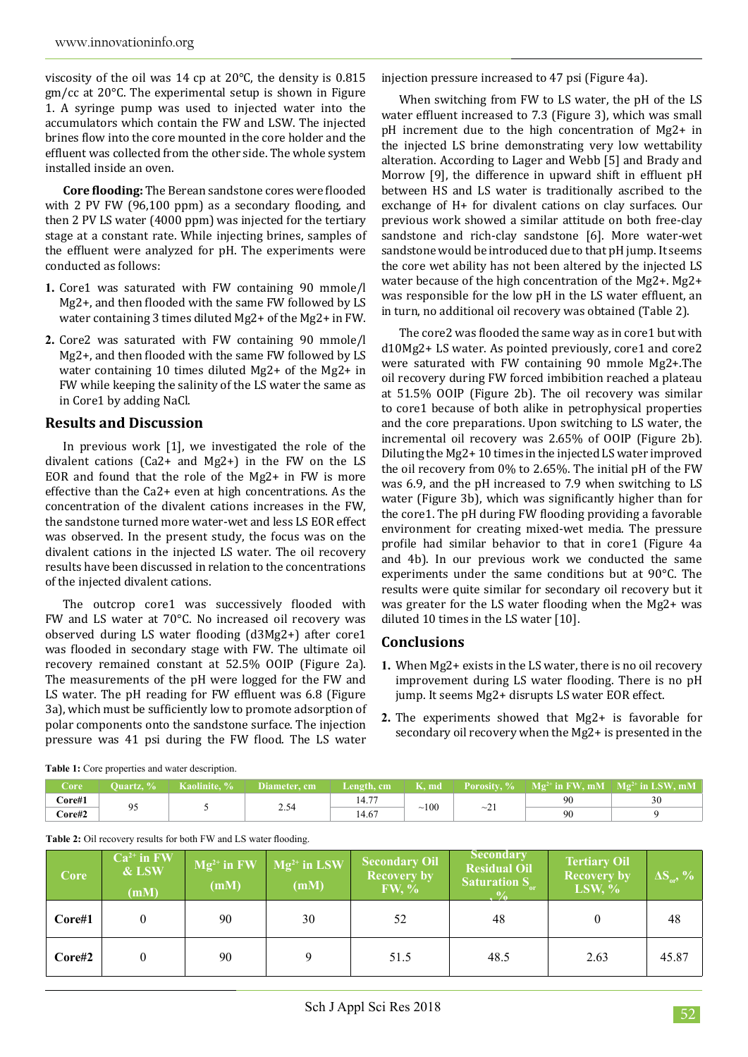viscosity of the oil was 14 cp at 20°C, the density is 0.815 gm/cc at 20°C. The experimental setup is shown in Figure 1. A syringe pump was used to injected water into the accumulators which contain the FW and LSW. The injected brines flow into the core mounted in the core holder and the effluent was collected from the other side. The whole system installed inside an oven.

**Core flooding:** The Berean sandstone cores were flooded with 2 PV FW (96,100 ppm) as a secondary flooding, and then 2 PV LS water (4000 ppm) was injected for the tertiary stage at a constant rate. While injecting brines, samples of the effluent were analyzed for pH. The experiments were conducted as follows:

- **1.** Core1 was saturated with FW containing 90 mmole/l Mg2+, and then flooded with the same FW followed by LS water containing 3 times diluted Mg2+ of the Mg2+ in FW.
- **2.** Core2 was saturated with FW containing 90 mmole/l Mg2+, and then flooded with the same FW followed by LS water containing 10 times diluted Mg2+ of the Mg2+ in FW while keeping the salinity of the LS water the same as in Core1 by adding NaCl.

## **Results and Discussion**

In previous work [1], we investigated the role of the divalent cations (Ca2+ and Mg2+) in the FW on the LS EOR and found that the role of the Mg2+ in FW is more effective than the Ca2+ even at high concentrations. As the concentration of the divalent cations increases in the FW, the sandstone turned more water-wet and less LS EOR effect was observed. In the present study, the focus was on the divalent cations in the injected LS water. The oil recovery results have been discussed in relation to the concentrations of the injected divalent cations.

The outcrop core1 was successively flooded with FW and LS water at 70°C. No increased oil recovery was observed during LS water flooding (d3Mg2+) after core1 was flooded in secondary stage with FW. The ultimate oil recovery remained constant at 52.5% OOIP (Figure 2a). The measurements of the pH were logged for the FW and LS water. The pH reading for FW effluent was 6.8 (Figure 3a), which must be sufficiently low to promote adsorption of polar components onto the sandstone surface. The injection pressure was 41 psi during the FW flood. The LS water

injection pressure increased to 47 psi (Figure 4a).

When switching from FW to LS water, the pH of the LS water effluent increased to 7.3 (Figure 3), which was small pH increment due to the high concentration of Mg2+ in the injected LS brine demonstrating very low wettability alteration. According to Lager and Webb [5] and Brady and Morrow [9], the difference in upward shift in effluent pH between HS and LS water is traditionally ascribed to the exchange of H+ for divalent cations on clay surfaces. Our previous work showed a similar attitude on both free-clay sandstone and rich-clay sandstone [6]. More water-wet sandstone would be introduced due to that pH jump. It seems the core wet ability has not been altered by the injected LS water because of the high concentration of the Mg2+. Mg2+ was responsible for the low pH in the LS water effluent, an in turn, no additional oil recovery was obtained (Table 2).

The core2 was flooded the same way as in core1 but with d10Mg2+ LS water. As pointed previously, core1 and core2 were saturated with FW containing 90 mmole Mg2+.The oil recovery during FW forced imbibition reached a plateau at 51.5% OOIP (Figure 2b). The oil recovery was similar to core1 because of both alike in petrophysical properties and the core preparations. Upon switching to LS water, the incremental oil recovery was 2.65% of OOIP (Figure 2b). Diluting the Mg2+ 10 times in the injected LS water improved the oil recovery from 0% to 2.65%. The initial pH of the FW was 6.9, and the pH increased to 7.9 when switching to LS water (Figure 3b), which was significantly higher than for the core1. The pH during FW flooding providing a favorable environment for creating mixed-wet media. The pressure profile had similar behavior to that in core1 (Figure 4a and 4b). In our previous work we conducted the same experiments under the same conditions but at 90°C. The results were quite similar for secondary oil recovery but it was greater for the LS water flooding when the Mg2+ was diluted 10 times in the LS water [10].

## **Conclusions**

- **1.** When Mg2+ exists in the LS water, there is no oil recovery improvement during LS water flooding. There is no pH jump. It seems Mg2+ disrupts LS water EOR effect.
- **2.** The experiments showed that Mg2+ is favorable for secondary oil recovery when the Mg2+ is presented in the

**Table 2:** Oil recovery results for both FW and LS water flooding.

| Zore                                 | Ouartz. % | Kaolinite. % | Diameter, cm ' | Length, cm  | K, md | <b>Porosity, %</b> | $\mathbb{M}$ $\mathbb{R}^{2+}$ in FW, mM | $\parallel$ Mg <sup>2+</sup> in LSW, mM |
|--------------------------------------|-----------|--------------|----------------|-------------|-------|--------------------|------------------------------------------|-----------------------------------------|
| Core#1                               | ີ         |              | 2.34           | 177<br>14.7 | 100   | $\sim$ 21          | 90                                       | 30                                      |
| $\textcolor{blue}{\mathbf{Core}\#2}$ |           |              |                | .4.67       |       |                    | 90                                       |                                         |

| Core   | $Ca2+$ in FW<br>& LSW<br>(mM) | $Mg^{2+}$ in FW<br>(mM) | $Mg^{2+}$ in LSW<br>(mM) | <b>Secondary Oil</b><br><b>Recovery by</b><br>FW, % | <b>Secondary</b><br><b>Residual Oil</b><br><b>Saturation S</b> | <b>Tertiary Oil</b><br><b>Recovery by</b><br>LSW, $\%$ | $\Delta S_{\rm orb}$ , % |
|--------|-------------------------------|-------------------------|--------------------------|-----------------------------------------------------|----------------------------------------------------------------|--------------------------------------------------------|--------------------------|
| Core#1 |                               | 90                      | 30                       | 52                                                  | 48                                                             |                                                        | 48                       |
| Core#2 |                               | 90                      |                          | 51.5                                                | 48.5                                                           | 2.63                                                   | 45.87                    |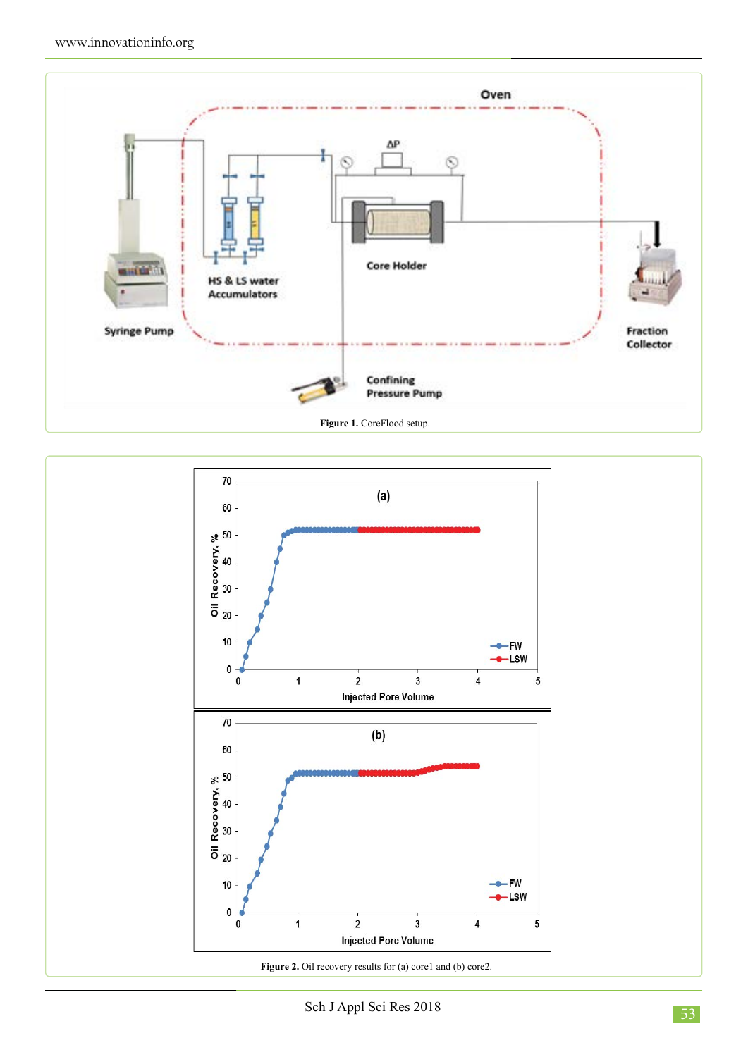



Sch J Appl Sci Res 2018 53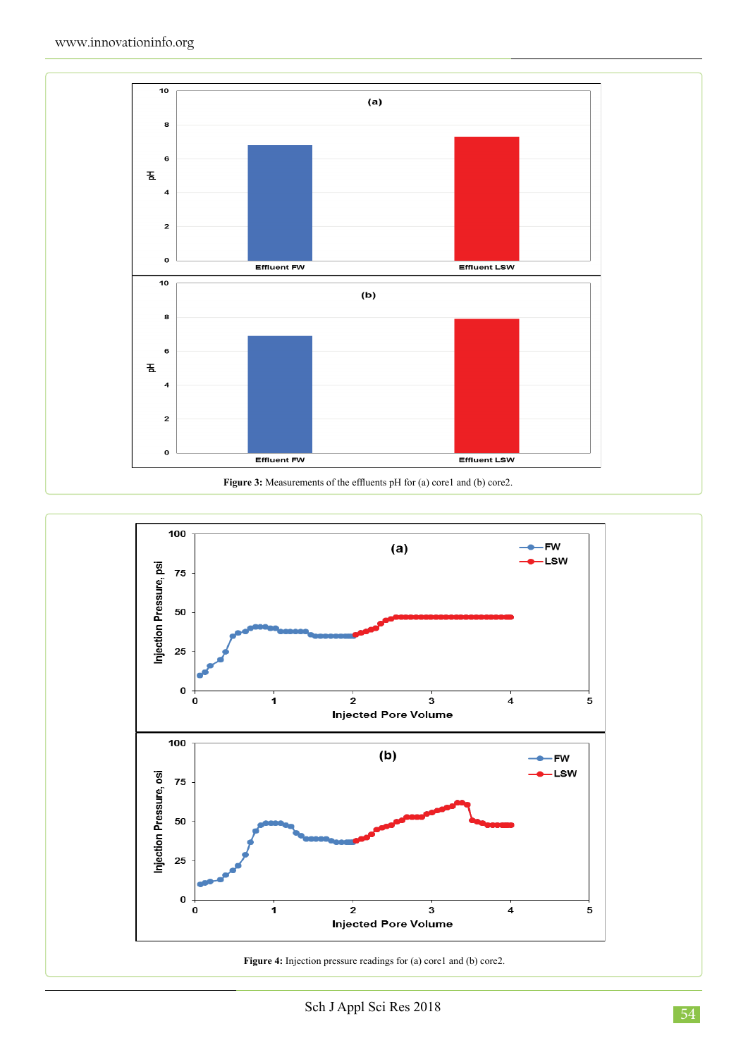